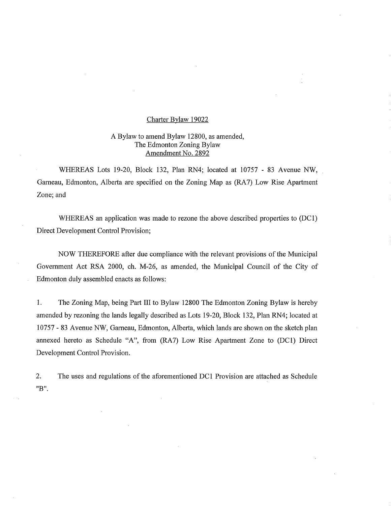## Charter Bylaw 19022

## A Bylaw to amend Bylaw 12800, as amended, The Edmonton Zoning Bylaw Amendment No. 2892

WHEREAS Lots 19-20, Block 132, Plan RN4; located at 10757 - 83 Avenue NW, Gameau, Edmonton, Alberta are specified on the Zoning Map as (RA7) Low Rise Apartment Zone; and

WHEREAS an application was made to rezone the above described properties to (DC1) Direct Development Control Provision;

NOW THEREFORE after due compliance with the relevant provisions of the Municipal Government Act RSA 2000, ch. M-26, as amended, the Municipal Council of the City of Edmonton duly assembled enacts as follows:

1. The Zoning Map, being Part III to Bylaw 12800 The Edmonton Zoning Bylaw is hereby amended by rezoning the lands legally described as Lots 19-20, Block 132, Plan RN4; located at 10757 - 83 Avenue NW, Gameau, Edmonton, Alberta, which lands are shown on the sketch plan annexed hereto as Schedule "A", from (RA7) Low Rise Apartment Zone to (DC1) Direct Development Control Provision.

2. The uses and regulations of the aforementioned DC1 Provision are attached as Schedule "B".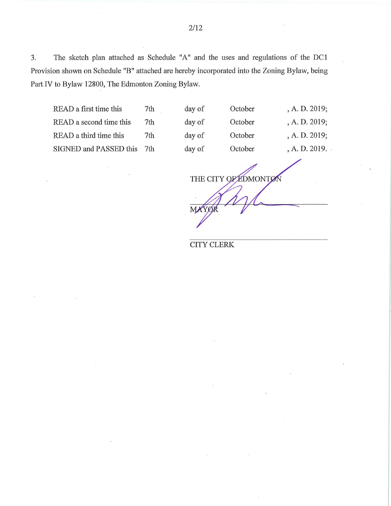3. The sketch plan attached as Schedule "A" and the uses and regulations of the DC1 Provision shown on Schedule "B" attached are hereby incorporated into the Zoning Bylaw, being Part IV to Bylaw 12800, The Edmonton Zoning Bylaw.

READ a first time this 7th day of READ a second time this 7th day of READ a third time this 7th day of SIGNED and PASSED this 7th day of

| f | October | , A. D. 2019; |
|---|---------|---------------|
| f | October | , A. D. 2019; |
| f | October | , A. D. 2019; |
| f | October | , A. D. 2019. |
|   |         |               |

THE CITY OF EDMONTON М

CITY CLERK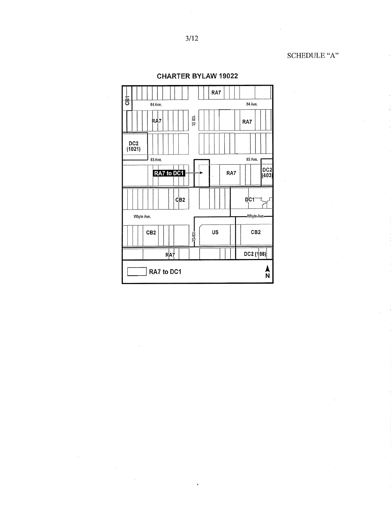$\cdot$ 



l,

CHARTER BYLAW 19022

 $\bar{z}$ 

 $\sim$ 

 $\mathcal{L}^{\pm}$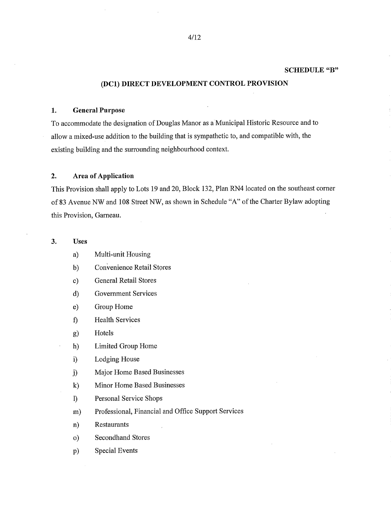#### SCHEDULE "B"

# (DC!) DIRECT DEVELOPMENT CONTROL PROVISION

#### 1. General Purpose

To accommodate the designation of Douglas Manor as a Municipal Historic Resource and to allow a mixed-use addition to the building that is sympathetic to, and compatible with, the existing building and the surrounding neighbourhood context.

## 2. Area of Application

This Provision shall apply to Lots 19 and 20, Block 132, Plan RN4 located on the southeast corner of 83 Avenue NW and 108 Street NW, as shown in Schedule "A" of the Charter Bylaw adopting this Provision, Garneau.

## 3. Uses

- a) Multi-unit Housing
- b) Convenience Retail Stores
- c) General Retail Stores
- d) Government Services
- e) Group Home
- f) Health Services
- g) Hotels
- h) Limited Group Home
- i) Lodging House
- j) Major Home Based Businesses
- k) Minor Home Based Businesses
- 1) Personal Service Shops
- m) Professional, Financial and Office Support Services
- n) Restaurants
- o) Secondhand Stores
- Special Events  $p)$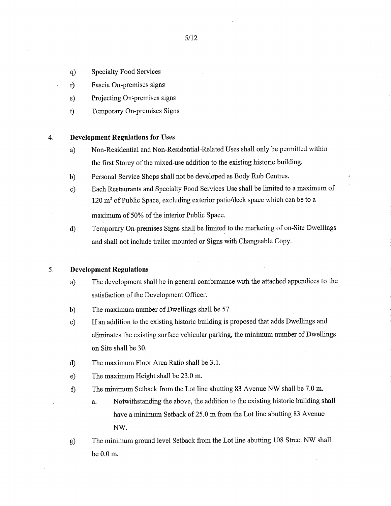- Specialty Food Services  $q)$
- r) Fascia On-premises signs
- s) Projecting On-premises signs
- t) Temporary On-premises Signs

## 4. **Development Regulations for Uses**

- a) Non-Residential and Non-Residential-Related Uses shall only be permitted within the first Storey of the mixed-use addition to the existing historic building.
- b) Personal Service Shops shall not be developed as Body Rub Centres.
- c) Each Restaurants and Specialty Food Services Use shall be limited to a maximum of 120 m<sup>2</sup> of Public Space, excluding exterior patio/deck space which can be to a maximum of 50% of the interior Public Space.
- d) Temporary On-premises Signs shall be limited to the marketing of on-Site Dwellings and shall not include trailer mounted or Signs with Changeable Copy.

## 5. **Development Regulations**

- a) The development shall be in general conformance with the attached appendices to the satisfaction of the Development Officer.
- b) The maximum number of Dwellings shall be 57.
- c) If an addition to the existing historic building is proposed that adds Dwellings and eliminates the existing surface vehicular parking, the minimum number of Dwellings on Site shall be 30.
- d) The maximum Floor Area Ratio shall be 3.1.
- e) The maximum Height shall be 23.0 m.
- f) The minimum Setback from the Lot line abutting 83 Avenue NW shall be 7.0 m.
	- a. Notwithstanding the above, the addition to the existing historic building shall have a minimum Setback of 25.0 m from the Lot line abutting 83 Avenue NW.
- The minimum ground level Setback from the Lot line abutting 108 Street NW shall g) be 0.0 m.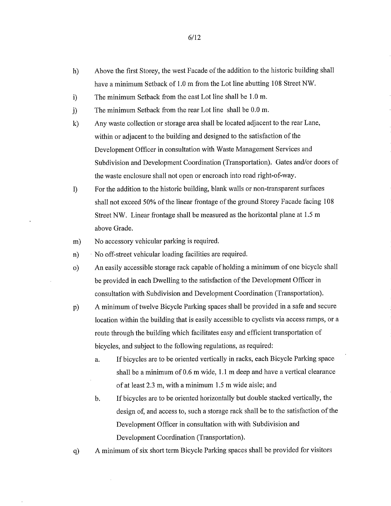- h) Above the first Storey, the west Facade of the addition to the historic building shall have a minimum Setback of 1.0 m from the Lot line abutting 108 Street NW.
- i) The minimum Setback from the east Lot line shall be 1.0 m.
- The minimum Setback from the rear Lot line shall be 0.0 m.  $\mathbf{j}$
- k) Any waste collection or storage area shall be located adjacent to the rear Lane, within or adjacent to the building and designed to the satisfaction of the Development Officer in consultation with Waste Management Services and Subdivision and Development Coordination (Transportation). Gates and/or doors of the waste enclosure shall not open or encroach into road right-of-way.
- 1) For the addition to the historic building, blank walls or non-transparent surfaces shall not exceed 50% of the linear frontage of the ground Storey Facade facing 108 Street NW. Linear frontage shall be measured as the horizontal plane at 1.5 m above Grade.
- m) No accessory vehicular parking is required.
- n) No off-street vehicular loading facilities are required.
- o) An easily accessible storage rack capable of holding a minimum of one bicycle shall be provided in each Dwelling to the satisfaction of the Development Officer in consultation with Subdivision and Development Coordination (Transportation).
- 13) A minimum of twelve Bicycle Parking spaces shall be provided in a safe and secure location within the building that is easily accessible to cyclists via access ramps, or a route through the building which facilitates easy and efficient transportation of bicycles, and subject to the following regulations, as required:
	- a. If bicycles are to be oriented vertically in racks, each Bicycle Parking space shall be a minimum of 0.6 m wide, 1.1 m deep and have a vertical clearance of at least 2.3 m, with a minimum 1.5 m wide aisle; and
	- b. If bicycles are to be oriented horizontally but double stacked vertically, the design of, and access to, such a storage rack shall be to the satisfaction of the Development Officer in consultation with with Subdivision and Development Coordination (Transportation).
- q) A minimum of six short term Bicycle Parking spaces shall be provided for visitors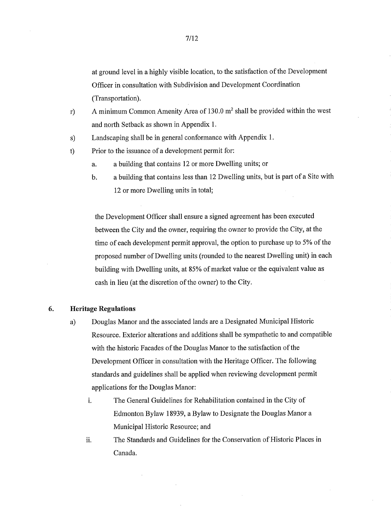at ground level in a highly visible location, to the satisfaction of the Development Officer in consultation with Subdivision and Development Coordination (Transportation).

- r) A minimum Common Amenity Area of 130.0 m2 shall be provided within the west and north Setback as shown in Appendix 1.
- s) Landscaping shall be in general conformance with Appendix 1.

t) Prior to the issuance of a development permit for:

- a. a building that contains 12 or more Dwelling units; or
- b. a building that contains less than 12 Dwelling units, but is part of a Site with 12 or more Dwelling units in total;

the Development Officer shall ensure a signed agreement has been executed between the City and the owner, requiring the owner to provide the City, at the time of each development permit approval, the option to purchase up to 5% of the proposed number of Dwelling units (rounded to the nearest Dwelling unit) in each building with Dwelling units, at 85% of market value or the equivalent value as cash in lieu (at the discretion of the owner) to the City.

## **6. Heritage Regulations**

- a) Douglas Manor and the associated lands are a Designated Municipal Historic Resource. Exterior alterations and additions shall be sympathetic to and compatible with the historic Facades of the Douglas Manor to the satisfaction of the Development Officer in consultation with the Heritage Officer. The following standards and guidelines shall be applied when reviewing development permit applications for the Douglas Manor:
	- i. The General Guidelines for Rehabilitation contained in the City of Edmonton Bylaw 18939, a Bylaw to Designate the Douglas Manor a Municipal Historic Resource; and
	- ii. The Standards and Guidelines for the Conservation of Historic Places in Canada.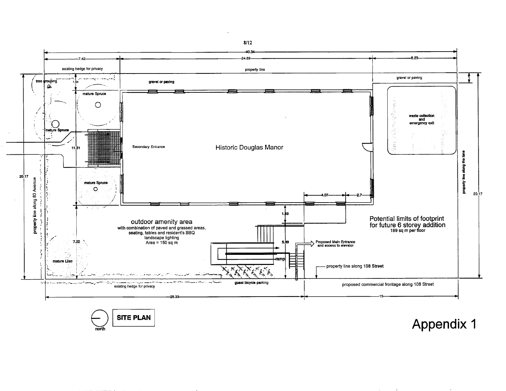

**north** 

**SITE PLAN Appendix 1** 

**8/12**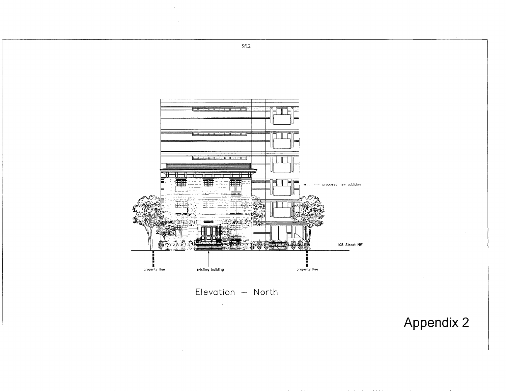

Appendix 2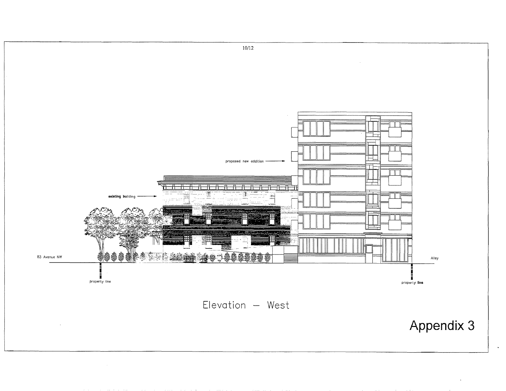

 $\Delta$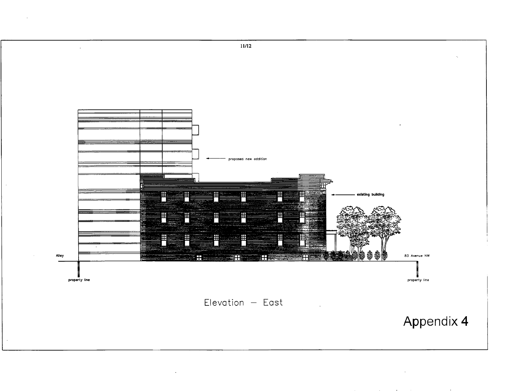

 $\sim$